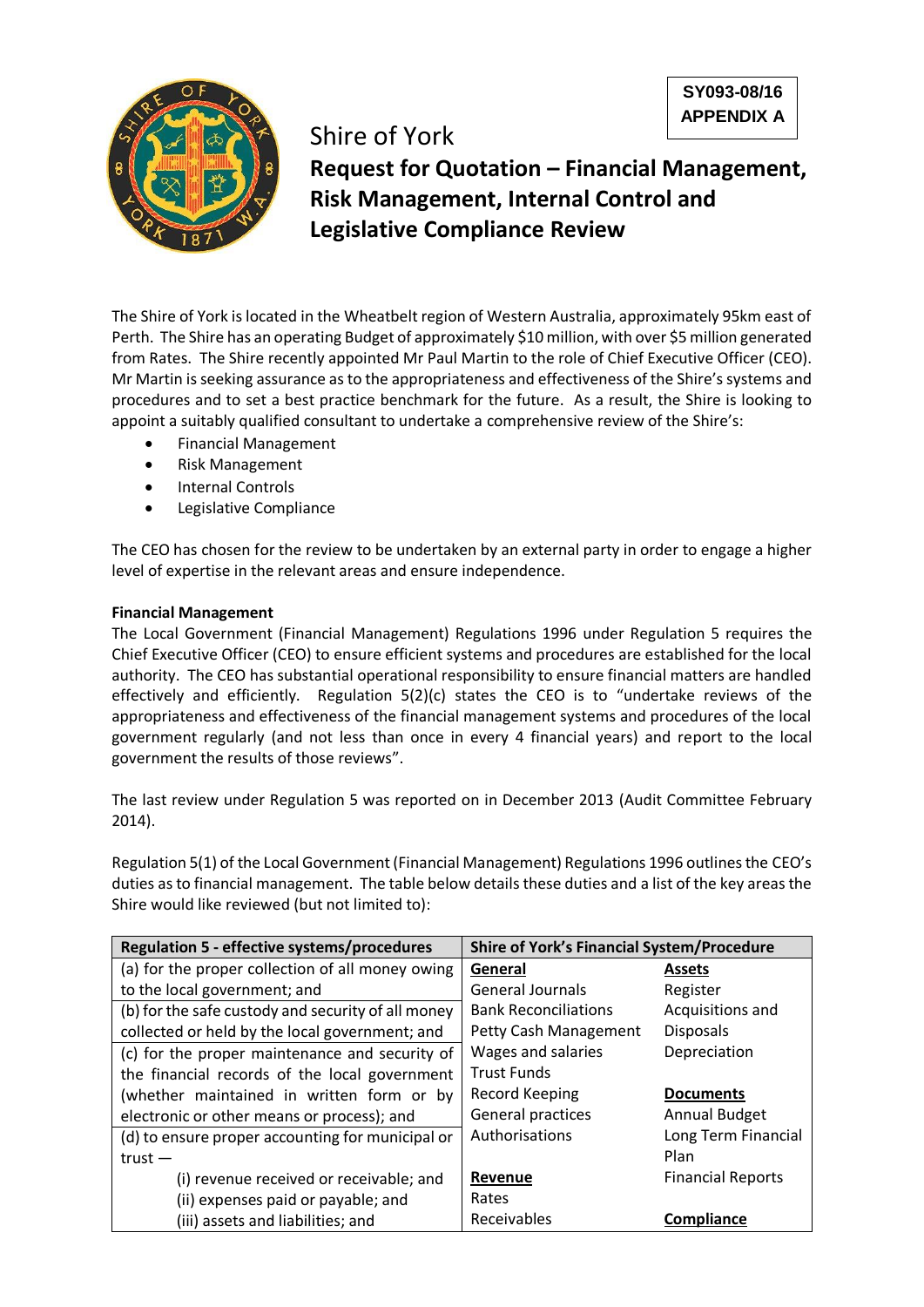**SY093-08/16 APPENDIX A**



Shire of York **Request for Quotation – Financial Management, Risk Management, Internal Control and Legislative Compliance Review**

The Shire of York is located in the Wheatbelt region of Western Australia, approximately 95km east of Perth. The Shire has an operating Budget of approximately \$10 million, with over \$5 million generated from Rates. The Shire recently appointed Mr Paul Martin to the role of Chief Executive Officer (CEO). Mr Martin is seeking assurance as to the appropriateness and effectiveness of the Shire's systems and procedures and to set a best practice benchmark for the future. As a result, the Shire is looking to appoint a suitably qualified consultant to undertake a comprehensive review of the Shire's:

- Financial Management
- Risk Management
- Internal Controls
- Legislative Compliance

The CEO has chosen for the review to be undertaken by an external party in order to engage a higher level of expertise in the relevant areas and ensure independence.

## **Financial Management**

The Local Government (Financial Management) Regulations 1996 under Regulation 5 requires the Chief Executive Officer (CEO) to ensure efficient systems and procedures are established for the local authority. The CEO has substantial operational responsibility to ensure financial matters are handled effectively and efficiently. Regulation 5(2)(c) states the CEO is to "undertake reviews of the appropriateness and effectiveness of the financial management systems and procedures of the local government regularly (and not less than once in every 4 financial years) and report to the local government the results of those reviews".

The last review under Regulation 5 was reported on in December 2013 (Audit Committee February 2014).

Regulation 5(1) of the Local Government (Financial Management) Regulations 1996 outlines the CEO's duties as to financial management. The table below details these duties and a list of the key areas the Shire would like reviewed (but not limited to):

| <b>Regulation 5 - effective systems/procedures</b> | <b>Shire of York's Financial System/Procedure</b> |                          |  |
|----------------------------------------------------|---------------------------------------------------|--------------------------|--|
| (a) for the proper collection of all money owing   | General                                           | <b>Assets</b>            |  |
| to the local government; and                       | <b>General Journals</b>                           | Register                 |  |
| (b) for the safe custody and security of all money | <b>Bank Reconciliations</b>                       | Acquisitions and         |  |
| collected or held by the local government; and     | Petty Cash Management                             | <b>Disposals</b>         |  |
| (c) for the proper maintenance and security of     | Wages and salaries                                | Depreciation             |  |
| the financial records of the local government      | <b>Trust Funds</b>                                |                          |  |
| (whether maintained in written form or by          | <b>Record Keeping</b>                             | <b>Documents</b>         |  |
| electronic or other means or process); and         | General practices                                 | <b>Annual Budget</b>     |  |
| (d) to ensure proper accounting for municipal or   | Authorisations                                    | Long Term Financial      |  |
| $trust -$                                          |                                                   | Plan                     |  |
| (i) revenue received or receivable; and            | Revenue                                           | <b>Financial Reports</b> |  |
| (ii) expenses paid or payable; and                 | Rates                                             |                          |  |
| (iii) assets and liabilities; and                  | Receivables                                       | Compliance               |  |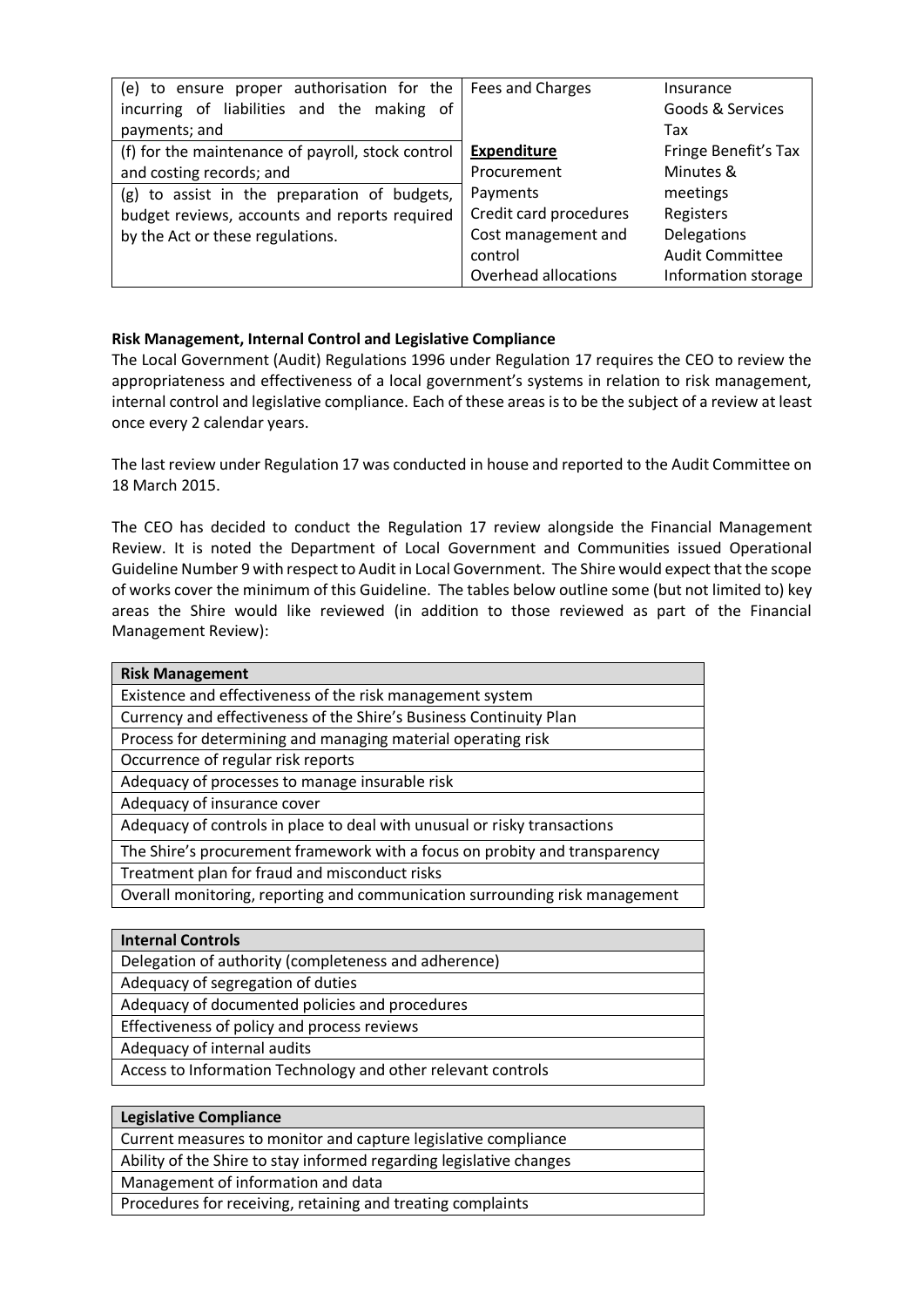| (e) to ensure proper authorisation for the        | Fees and Charges       | Insurance              |
|---------------------------------------------------|------------------------|------------------------|
| incurring of liabilities and the making of        |                        | Goods & Services       |
| payments; and                                     |                        | Tax                    |
| (f) for the maintenance of payroll, stock control | <b>Expenditure</b>     | Fringe Benefit's Tax   |
| and costing records; and                          | Procurement            | Minutes &              |
| (g) to assist in the preparation of budgets,      | Payments               | meetings               |
| budget reviews, accounts and reports required     | Credit card procedures | Registers              |
| by the Act or these regulations.                  | Cost management and    | <b>Delegations</b>     |
|                                                   | control                | <b>Audit Committee</b> |
|                                                   | Overhead allocations   | Information storage    |

## **Risk Management, Internal Control and Legislative Compliance**

The Local Government (Audit) Regulations 1996 under Regulation 17 requires the CEO to review the appropriateness and effectiveness of a local government's systems in relation to risk management, internal control and legislative compliance. Each of these areas is to be the subject of a review at least once every 2 calendar years.

The last review under Regulation 17 was conducted in house and reported to the Audit Committee on 18 March 2015.

The CEO has decided to conduct the Regulation 17 review alongside the Financial Management Review. It is noted the Department of Local Government and Communities issued Operational Guideline Number 9 with respect to Audit in Local Government. The Shire would expect that the scope of works cover the minimum of this Guideline. The tables below outline some (but not limited to) key areas the Shire would like reviewed (in addition to those reviewed as part of the Financial Management Review):

| <b>Risk Management</b>                                                      |  |  |  |
|-----------------------------------------------------------------------------|--|--|--|
| Existence and effectiveness of the risk management system                   |  |  |  |
| Currency and effectiveness of the Shire's Business Continuity Plan          |  |  |  |
| Process for determining and managing material operating risk                |  |  |  |
| Occurrence of regular risk reports                                          |  |  |  |
| Adequacy of processes to manage insurable risk                              |  |  |  |
| Adequacy of insurance cover                                                 |  |  |  |
| Adequacy of controls in place to deal with unusual or risky transactions    |  |  |  |
| The Shire's procurement framework with a focus on probity and transparency  |  |  |  |
| Treatment plan for fraud and misconduct risks                               |  |  |  |
| Overall monitoring, reporting and communication surrounding risk management |  |  |  |
|                                                                             |  |  |  |
| <b>Internal Controls</b>                                                    |  |  |  |
| Delegation of authority (completeness and adherence)                        |  |  |  |
| Adequacy of segregation of duties                                           |  |  |  |
| Adequacy of documented policies and procedures                              |  |  |  |
| Effectiveness of policy and process reviews                                 |  |  |  |

Adequacy of internal audits

Access to Information Technology and other relevant controls

| <b>Legislative Compliance</b>                                       |
|---------------------------------------------------------------------|
| Current measures to monitor and capture legislative compliance      |
| Ability of the Shire to stay informed regarding legislative changes |
| Management of information and data                                  |
| Procedures for receiving, retaining and treating complaints         |